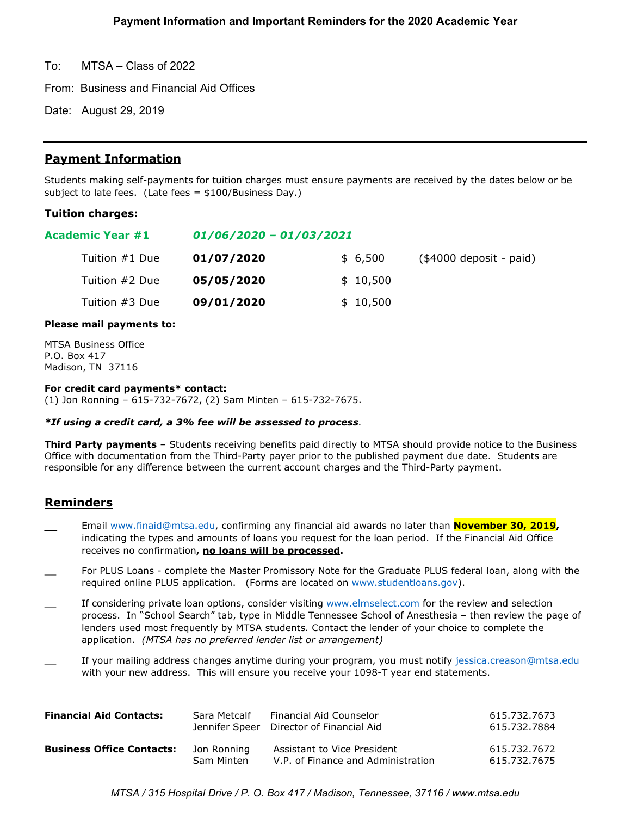To: MTSA – Class of 2022

From: Business and Financial Aid Offices

Date: August 29, 2019

# **Payment Information**

Students making self-payments for tuition charges must ensure payments are received by the dates below or be subject to late fees. (Late fees = \$100/Business Day.)

## **Tuition charges:**

| Academic Year #1 | $01/06/2020 - 01/03/2021$ |          |                          |  |
|------------------|---------------------------|----------|--------------------------|--|
| Tuition #1 Due   | 01/07/2020                | \$6,500  | $($4000$ deposit - paid) |  |
| Tuition #2 Due   | 05/05/2020                | \$10,500 |                          |  |
| Tuition #3 Due   | 09/01/2020                | \$10,500 |                          |  |

### **Please mail payments to:**

MTSA Business Office P.O. Box 417 Madison, TN 37116

### **For credit card payments\* contact:**

(1) Jon Ronning – 615-732-7672, (2) Sam Minten – 615-732-7675.

### *\*If using a credit card, a 3% fee will be assessed to process.*

**Third Party payments** – Students receiving benefits paid directly to MTSA should provide notice to the Business Office with documentation from the Third-Party payer prior to the published payment due date. Students are responsible for any difference between the current account charges and the Third-Party payment.

# **Reminders**

- Email [www.finaid@mtsa.edu,](http://www.finaid@mtsa.edu) confirming any financial aid awards no later than **November 30, 2019,** indicating the types and amounts of loans you request for the loan period. If the Financial Aid Office receives no confirmation**, no loans will be processed.**
- For PLUS Loans complete the Master Promissory Note for the Graduate PLUS federal loan, along with the required online PLUS application. (Forms are located on [www.studentloans.gov\)](http://www.studentloans.gov/).
- If considering private loan options, consider visiting [www.elmselect.com](http://www.elmselect.com/) for the review and selection process. In "School Search" tab, type in Middle Tennessee School of Anesthesia – then review the page of lenders used most frequently by MTSA students*.* Contact the lender of your choice to complete the application. *(MTSA has no preferred lender list or arrangement)*
- If your mailing address changes anytime during your program, you must notify [jessica.creason@mtsa.edu](mailto:jessica.creason@mtsa.edu) with your new address. This will ensure you receive your 1098-T year end statements.

| <b>Financial Aid Contacts:</b>   | Sara Metcalf | Financial Aid Counselor<br>Jennifer Speer Director of Financial Aid | 615.732.7673<br>615.732.7884 |
|----------------------------------|--------------|---------------------------------------------------------------------|------------------------------|
| <b>Business Office Contacts:</b> | Jon Ronning  | Assistant to Vice President                                         | 615.732.7672                 |
|                                  | Sam Minten   | V.P. of Finance and Administration                                  | 615.732.7675                 |

*MTSA / 315 Hospital Drive / P. O. Box 417 / Madison, Tennessee, 37116 / www.mtsa.edu*